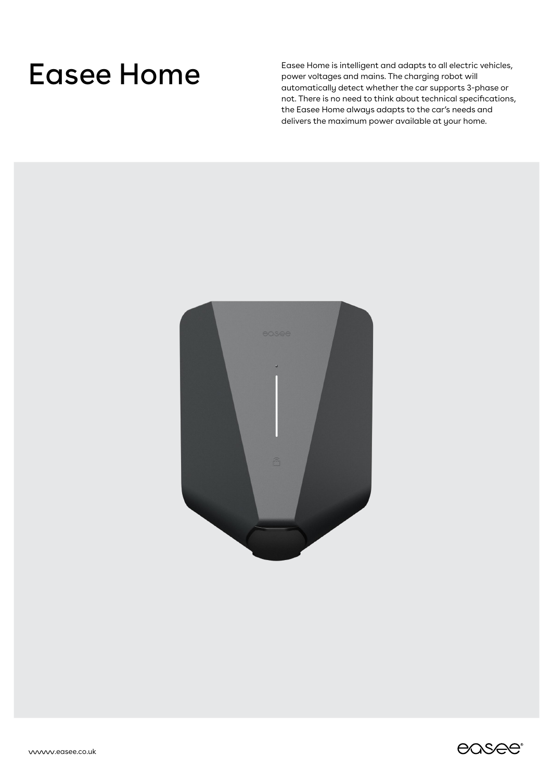Easee Home is intelligent and adapts to all electric vehicles,<br>power voltages and mains. The charging robot will power voltages and mains. The charging robot will automatically detect whether the car supports 3-phase or not. There is no need to think about technical specifications, the Easee Home always adapts to the car's needs and delivers the maximum power available at your home.



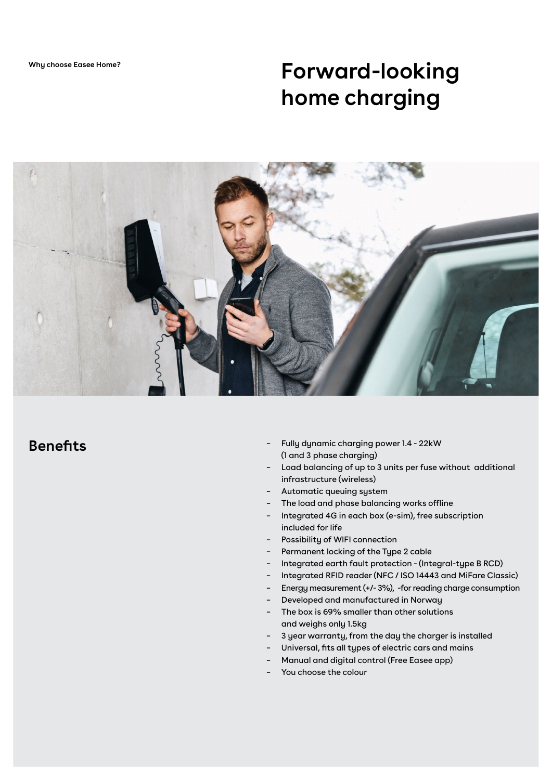**Why choose Easee Home?**

# **Forward-looking home charging**



## **Benefits**

- Fully dynamic charging power 1.4 22kW (1 and 3 phase charging) –
- Load balancing of up to 3 units per fuse without additional infrastructure (wireless) –
- Automatic queuing system –
- The load and phase balancing works offline –
- Integrated 4G in each box (e-sim), free subscription included for life –
- Possibility of WIFI connection –
- Permanent locking of the Type 2 cable –
- Integrated earth fault protection (Integral-type B RCD) –
- Integrated RFID reader (NFC / ISO 14443 and MiFare Classic) –
- Energy measurement (+/- 3%), -for reading charge consumption –
- Developed and manufactured in Norway –
- The box is 69% smaller than other solutions and weighs only 1.5kg –
- 3 year warranty, from the day the charger is installed –
- Universal, fits all types of electric cars and mains –
- Manual and digital control (Free Easee app) –
- You choose the colour –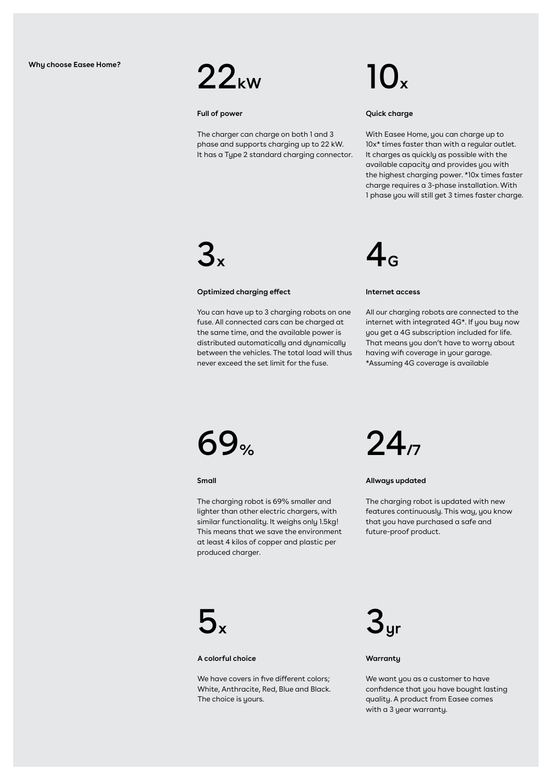

### **Full of power**

The charger can charge on both 1 and 3 phase and supports charging up to 22 kW. It has a Type 2 standard charging connector.

### **Quick charge**

With Easee Home, you can charge up to 10x\* times faster than with a regular outlet. It charges as quickly as possible with the available capacity and provides you with the highest charging power. \*10x times faster charge requires a 3-phase installation. With 1 phase you will still get 3 times faster charge.

# 3**x**

### **Optimized charging effect**

You can have up to 3 charging robots on one fuse. All connected cars can be charged at the same time, and the available power is distributed automatically and dynamically between the vehicles. The total load will thus never exceed the set limit for the fuse.



### **Internet access**

All our charging robots are connected to the internet with integrated 4G\*. If you buy now you get a 4G subscription included for life. That means you don't have to worry about having wifi coverage in your garage. \*Assuming 4G coverage is available



**Small**

The charging robot is 69% smaller and lighter than other electric chargers, with similar functionality. It weighs only 1.5kg! This means that we save the environment at least 4 kilos of copper and plastic per produced charger.



### **Allways updated**

The charging robot is updated with new features continuously. This way, you know that you have purchased a safe and future-proof product.



### **A colorful choice**

We have covers in five different colors: White, Anthracite, Red, Blue and Black. The choice is yours.



### **Warranty**

We want you as a customer to have confidence that you have bought lasting quality. A product from Easee comes with a 3 year warranty.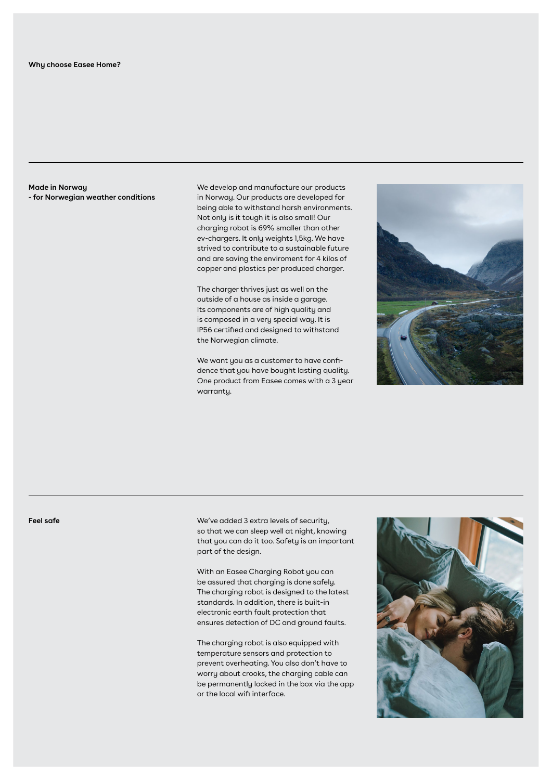**Made in Norway - for Norwegian weather conditions** We develop and manufacture our products in Norway. Our products are developed for being able to withstand harsh environments. Not only is it tough it is also small! Our charging robot is 69% smaller than other ev-chargers. It only weights 1,5kg. We have strived to contribute to a sustainable future and are saving the enviroment for 4 kilos of copper and plastics per produced charger.

The charger thrives just as well on the outside of a house as inside a garage. Its components are of high quality and is composed in a very special way. It is IP56 certified and designed to withstand the Norwegian climate.

We want you as a customer to have confidence that you have bought lasting quality. One product from Easee comes with a 3 year warranty.



**Feel safe**

We've added 3 extra levels of security, so that we can sleep well at night, knowing that you can do it too. Safety is an important part of the design.

With an Easee Charging Robot you can be assured that charging is done safely. The charging robot is designed to the latest standards. In addition, there is built-in electronic earth fault protection that ensures detection of DC and ground faults.

The charging robot is also equipped with temperature sensors and protection to prevent overheating. You also don't have to worry about crooks, the charging cable can be permanently locked in the box via the app or the local wifi interface.

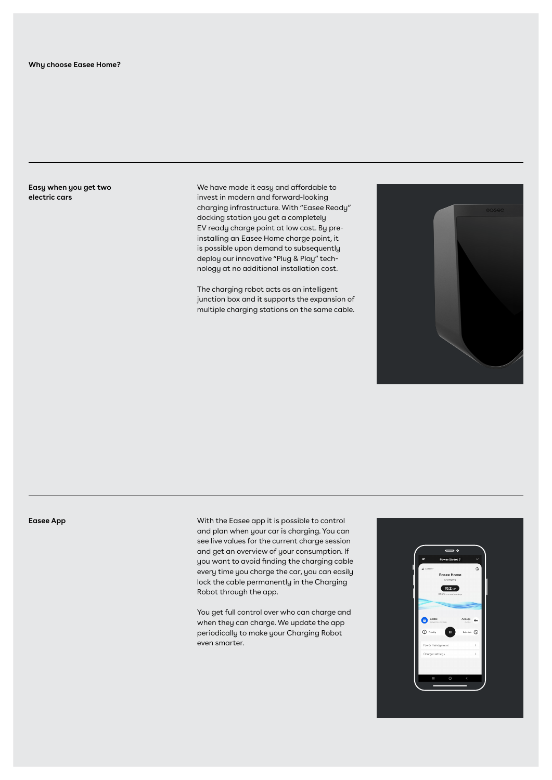**Easy when you get two electric cars**

We have made it easy and affordable to invest in modern and forward-looking charging infrastructure. With "Easee Ready" docking station you get a completely EV ready charge point at low cost. By preinstalling an Easee Home charge point, it is possible upon demand to subsequently deploy our innovative "Plug & Play" technology at no additional installation cost.

The charging robot acts as an intelligent junction box and it supports the expansion of multiple charging stations on the same cable.



**Easee App**

With the Easee app it is possible to control and plan when your car is charging. You can see live values for the current charge session and get an overview of your consumption. If you want to avoid finding the charging cable every time you charge the car, you can easily lock the cable permanently in the Charging Robot through the app.

You get full control over who can charge and when they can charge. We update the app periodically to make your Charging Robot even smarter.

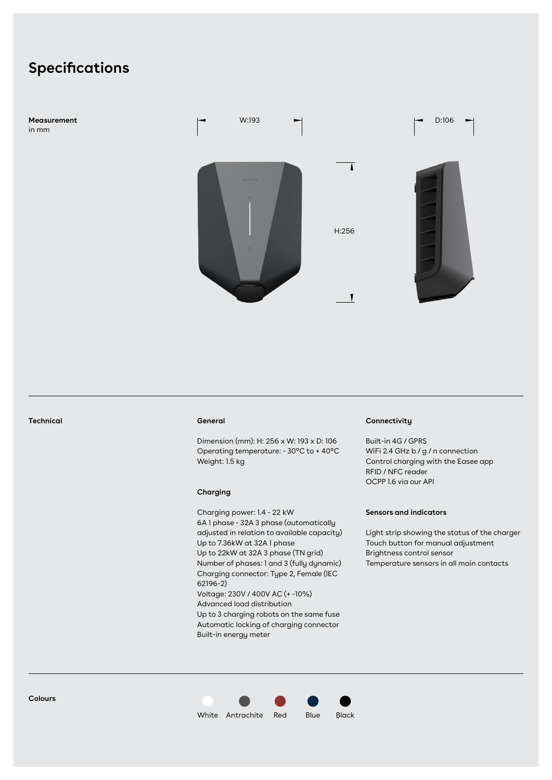## **Specifications**

**Measurement**  in mm



### **General**

Dimension (mm): H: 256 x W: 193 x D: 106 Operating temperature: - 30°C to + 40°C Weight: 1.5 kg

### **Charging**

Charging power: 1.4 - 22 kW 6A 1 phase - 32A 3 phase (automatically adjusted in relation to available capacity) Up to 7.36kW at 32A 1 phase Up to 22kW at 32A 3 phase (TN grid) Number of phases: 1 and 3 (fully dynamic) Charging connector: Type 2, Female (IEC 62196-2) Voltage: 230V / 400V AC (+ -10%) Advanced load distribution Up to 3 charging robots on the same fuse Automatic locking of charging connector Built-in energy meter

### **Technical Connectivity**

Built-in 4G / GPRS WiFi 2.4 GHz b / g / n connection Control charging with the Easee app RFID / NFC reader OCPP 1.6 via our API

### **Sensors and indicators**

Light strip showing the status of the charger Touch button for manual adjustment Brightness control sensor Temperature sensors in all main contacts

**Colours**

White Antrachite Red Blue Black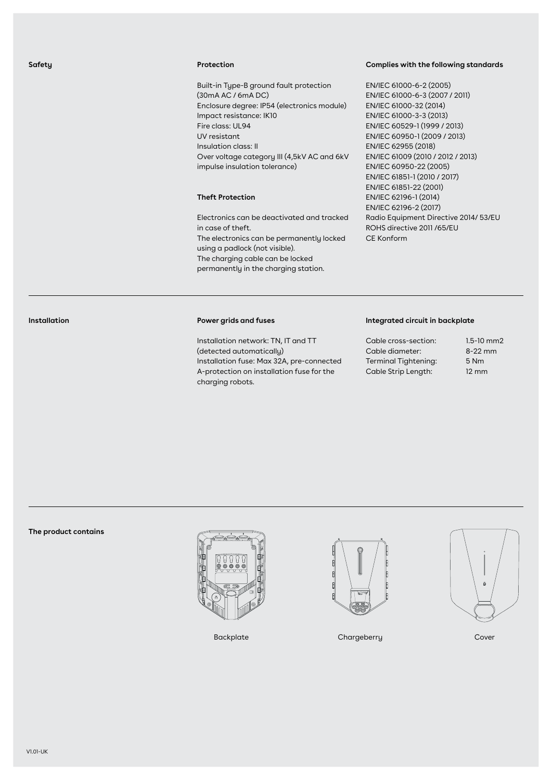### **Protection**

Built-in Type-B ground fault protection (30mA AC / 6mA DC) Enclosure degree: IP54 (electronics module) Impact resistance: IK10 Fire class: UL94 UV resistant Insulation class: II Over voltage category III (4,5kV AC and 6kV impulse insulation tolerance)

### **Theft Protection**

Electronics can be deactivated and tracked in case of theft. The electronics can be permanently locked using a padlock (not visible). The charging cable can be locked permanently in the charging station.

### **Complies with the following standards**

EN/IEC 61000-6-2 (2005) EN/IEC 61000-6-3 (2007 / 2011) EN/IEC 61000-32 (2014) EN/IEC 61000-3-3 (2013) EN/IEC 60529-1 (1999 / 2013) EN/IEC 60950-1 (2009 / 2013) EN/IEC 62955 (2018) EN/IEC 61009 (2010 / 2012 / 2013) EN/IEC 60950-22 (2005) EN/IEC 61851-1 (2010 / 2017) EN/IEC 61851-22 (2001) EN/IEC 62196-1 (2014) EN/IEC 62196-2 (2017) Radio Equipment Directive 2014/ 53/EU ROHS directive 2011 /65/EU CE Konform

### **Installation**

### **Power grids and fuses**

Installation network: TN, IT and TT (detected automatically) Installation fuse: Max 32A, pre-connected A-protection on installation fuse for the charging robots.

### **Integrated circuit in backplate**

| Cable cross-section:        | $1.5 - 10$ mm2  |
|-----------------------------|-----------------|
| Cable diameter:             | $8-22$ mm       |
| <b>Terminal Tightening:</b> | 5 Nm            |
| Cable Strip Length:         | $12 \text{ mm}$ |

### **The product contains**





Backplate Chargeberry Chargeberry Cover